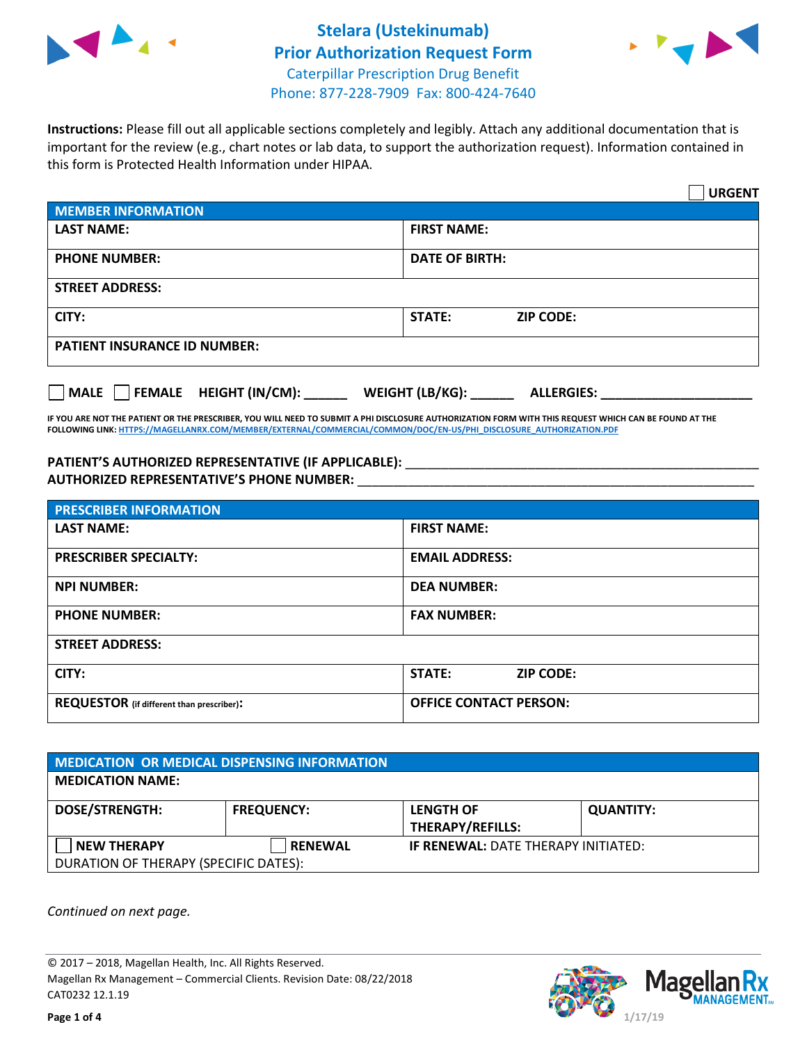



**Instructions:** Please fill out all applicable sections completely and legibly. Attach any additional documentation that is important for the review (e.g., chart notes or lab data, to support the authorization request). Information contained in this form is Protected Health Information under HIPAA.

|                                     | <b>URGENT</b>                          |
|-------------------------------------|----------------------------------------|
| <b>MEMBER INFORMATION</b>           |                                        |
| <b>LAST NAME:</b>                   | <b>FIRST NAME:</b>                     |
| <b>PHONE NUMBER:</b>                | <b>DATE OF BIRTH:</b>                  |
| <b>STREET ADDRESS:</b>              |                                        |
| CITY:                               | <b>ZIP CODE:</b><br>STATE:             |
| <b>PATIENT INSURANCE ID NUMBER:</b> |                                        |
| FEMALE HEIGHT (IN/CM):<br>   MALE   | WEIGHT (LB/KG): _<br><b>ALLERGIES:</b> |

**IF YOU ARE NOT THE PATIENT OR THE PRESCRIBER, YOU WILL NEED TO SUBMIT A PHI DISCLOSURE AUTHORIZATION FORM WITH THIS REQUEST WHICH CAN BE FOUND AT THE FOLLOWING LINK[: HTTPS://MAGELLANRX.COM/MEMBER/EXTERNAL/COMMERCIAL/COMMON/DOC/EN-US/PHI\\_DISCLOSURE\\_AUTHORIZATION.PDF](https://magellanrx.com/member/external/commercial/common/doc/en-us/PHI_Disclosure_Authorization.pdf)**

PATIENT'S AUTHORIZED REPRESENTATIVE (IF APPLICABLE): \_\_\_\_\_\_\_\_\_\_\_\_\_\_\_\_\_\_\_\_\_\_\_\_\_\_\_ **AUTHORIZED REPRESENTATIVE'S PHONE NUMBER:** \_\_\_\_\_\_\_\_\_\_\_\_\_\_\_\_\_\_\_\_\_\_\_\_\_\_\_\_\_\_\_\_\_\_\_\_\_\_\_\_\_\_\_\_\_\_\_\_\_\_\_\_\_\_\_

| <b>PRESCRIBER INFORMATION</b>             |                                   |  |
|-------------------------------------------|-----------------------------------|--|
| <b>LAST NAME:</b>                         | <b>FIRST NAME:</b>                |  |
| <b>PRESCRIBER SPECIALTY:</b>              | <b>EMAIL ADDRESS:</b>             |  |
| <b>NPI NUMBER:</b>                        | <b>DEA NUMBER:</b>                |  |
| <b>PHONE NUMBER:</b>                      | <b>FAX NUMBER:</b>                |  |
| <b>STREET ADDRESS:</b>                    |                                   |  |
| CITY:                                     | <b>STATE:</b><br><b>ZIP CODE:</b> |  |
| REQUESTOR (if different than prescriber): | <b>OFFICE CONTACT PERSON:</b>     |  |

| <b>MEDICATION OR MEDICAL DISPENSING INFORMATION</b> |                   |                                            |                  |  |
|-----------------------------------------------------|-------------------|--------------------------------------------|------------------|--|
| <b>MEDICATION NAME:</b>                             |                   |                                            |                  |  |
| <b>DOSE/STRENGTH:</b>                               | <b>FREQUENCY:</b> | <b>LENGTH OF</b>                           | <b>QUANTITY:</b> |  |
|                                                     |                   | <b>THERAPY/REFILLS:</b>                    |                  |  |
| <b>NEW THERAPY</b>                                  | <b>RENEWAL</b>    | <b>IF RENEWAL: DATE THERAPY INITIATED:</b> |                  |  |
| DURATION OF THERAPY (SPECIFIC DATES):               |                   |                                            |                  |  |

*Continued on next page.*

© 2017 – 2018, Magellan Health, Inc. All Rights Reserved. Magellan Rx Management – Commercial Clients. Revision Date: 08/22/2018 CAT0232 12.1.19

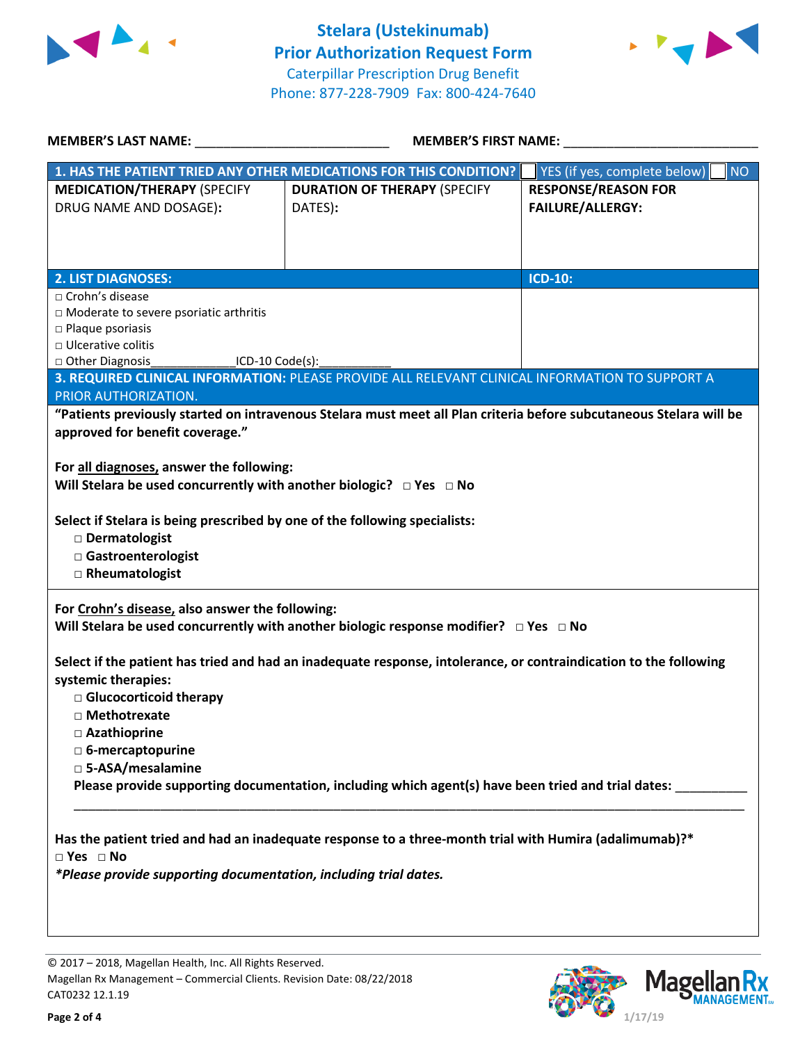



| <b>MEMBER'S LAST NAME:</b>                                                    | <b>MEMBER'S FIRST NAME:</b>                                                                                         |                                           |  |
|-------------------------------------------------------------------------------|---------------------------------------------------------------------------------------------------------------------|-------------------------------------------|--|
|                                                                               | 1. HAS THE PATIENT TRIED ANY OTHER MEDICATIONS FOR THIS CONDITION?                                                  | YES (if yes, complete below)<br><b>NO</b> |  |
| <b>MEDICATION/THERAPY (SPECIFY</b>                                            | <b>DURATION OF THERAPY (SPECIFY</b>                                                                                 | <b>RESPONSE/REASON FOR</b>                |  |
| DRUG NAME AND DOSAGE):                                                        | DATES):                                                                                                             | <b>FAILURE/ALLERGY:</b>                   |  |
|                                                                               |                                                                                                                     |                                           |  |
|                                                                               |                                                                                                                     |                                           |  |
| <b>2. LIST DIAGNOSES:</b>                                                     |                                                                                                                     | <b>ICD-10:</b>                            |  |
| □ Crohn's disease                                                             |                                                                                                                     |                                           |  |
| □ Moderate to severe psoriatic arthritis                                      |                                                                                                                     |                                           |  |
| □ Ulcerative colitis                                                          | $\square$ Plaque psoriasis                                                                                          |                                           |  |
| □ Other Diagnosis<br>____________________ICD-10 Code(s):_                     |                                                                                                                     |                                           |  |
|                                                                               | 3. REQUIRED CLINICAL INFORMATION: PLEASE PROVIDE ALL RELEVANT CLINICAL INFORMATION TO SUPPORT A                     |                                           |  |
| PRIOR AUTHORIZATION.                                                          |                                                                                                                     |                                           |  |
|                                                                               | "Patients previously started on intravenous Stelara must meet all Plan criteria before subcutaneous Stelara will be |                                           |  |
| approved for benefit coverage."                                               |                                                                                                                     |                                           |  |
| For all diagnoses, answer the following:                                      |                                                                                                                     |                                           |  |
| Will Stelara be used concurrently with another biologic? $\Box$ Yes $\Box$ No |                                                                                                                     |                                           |  |
|                                                                               |                                                                                                                     |                                           |  |
| Select if Stelara is being prescribed by one of the following specialists:    |                                                                                                                     |                                           |  |
| Dermatologist                                                                 |                                                                                                                     |                                           |  |
| Gastroenterologist                                                            |                                                                                                                     |                                           |  |
| □ Rheumatologist                                                              |                                                                                                                     |                                           |  |
|                                                                               |                                                                                                                     |                                           |  |
| For Crohn's disease, also answer the following:                               |                                                                                                                     |                                           |  |
|                                                                               | Will Stelara be used concurrently with another biologic response modifier? $\Box$ Yes $\Box$ No                     |                                           |  |
|                                                                               | Select if the patient has tried and had an inadequate response, intolerance, or contraindication to the following   |                                           |  |
| systemic therapies:                                                           |                                                                                                                     |                                           |  |
| Glucocorticoid therapy                                                        |                                                                                                                     |                                           |  |
| $\Box$ Methotrexate                                                           |                                                                                                                     |                                           |  |
| □ Azathioprine                                                                |                                                                                                                     |                                           |  |
| □ 6-mercaptopurine                                                            |                                                                                                                     |                                           |  |
| □ 5-ASA/mesalamine                                                            |                                                                                                                     |                                           |  |
|                                                                               | Please provide supporting documentation, including which agent(s) have been tried and trial dates:                  |                                           |  |
|                                                                               |                                                                                                                     |                                           |  |
|                                                                               |                                                                                                                     |                                           |  |
| $\square$ Yes $\square$ No                                                    | Has the patient tried and had an inadequate response to a three-month trial with Humira (adalimumab)?*              |                                           |  |
| *Please provide supporting documentation, including trial dates.              |                                                                                                                     |                                           |  |
|                                                                               |                                                                                                                     |                                           |  |
|                                                                               |                                                                                                                     |                                           |  |

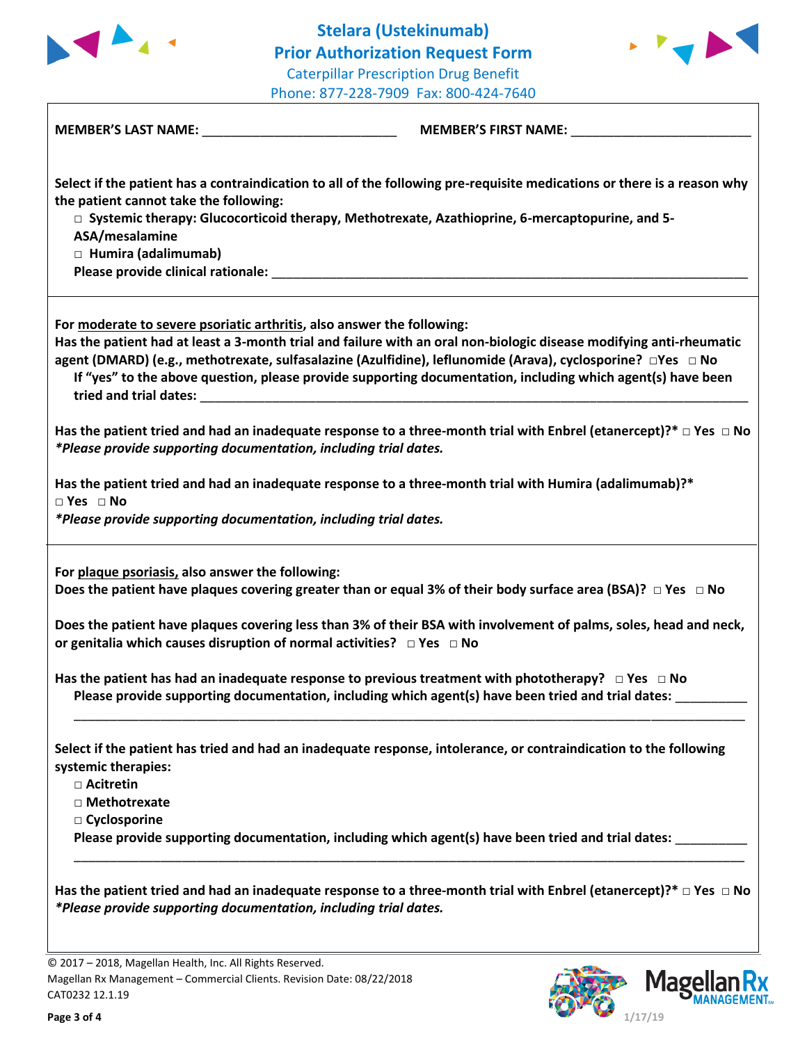



| MEMBER'S LAST NAME: _________________________________                                                                     |                                                                                                                                                                                                                                                                                                                                                    |
|---------------------------------------------------------------------------------------------------------------------------|----------------------------------------------------------------------------------------------------------------------------------------------------------------------------------------------------------------------------------------------------------------------------------------------------------------------------------------------------|
| the patient cannot take the following:<br>ASA/mesalamine<br>□ Humira (adalimumab)                                         | Select if the patient has a contraindication to all of the following pre-requisite medications or there is a reason why<br>□ Systemic therapy: Glucocorticoid therapy, Methotrexate, Azathioprine, 6-mercaptopurine, and 5-                                                                                                                        |
| For moderate to severe psoriatic arthritis, also answer the following:<br>tried and trial dates: example and trial dates: | Has the patient had at least a 3-month trial and failure with an oral non-biologic disease modifying anti-rheumatic<br>agent (DMARD) (e.g., methotrexate, sulfasalazine (Azulfidine), leflunomide (Arava), cyclosporine? □ Yes □ No<br>If "yes" to the above question, please provide supporting documentation, including which agent(s) have been |
| *Please provide supporting documentation, including trial dates.                                                          | Has the patient tried and had an inadequate response to a three-month trial with Enbrel (etanercept)?* $\Box$ Yes $\Box$ No                                                                                                                                                                                                                        |
| $\Box$ Yes $\Box$ No<br>*Please provide supporting documentation, including trial dates.                                  | Has the patient tried and had an inadequate response to a three-month trial with Humira (adalimumab)?*                                                                                                                                                                                                                                             |
| For plaque psoriasis, also answer the following:                                                                          | Does the patient have plaques covering greater than or equal 3% of their body surface area (BSA)? $\Box$ Yes $\Box$ No                                                                                                                                                                                                                             |
| or genitalia which causes disruption of normal activities? $\Box$ Yes $\Box$ No                                           | Does the patient have plaques covering less than 3% of their BSA with involvement of palms, soles, head and neck,                                                                                                                                                                                                                                  |
|                                                                                                                           | Has the patient has had an inadequate response to previous treatment with phototherapy? $\Box$ Yes $\Box$ No<br>Please provide supporting documentation, including which agent(s) have been tried and trial dates:                                                                                                                                 |
| systemic therapies:<br>□ Acitretin<br>□ Methotrexate<br>□ Cyclosporine                                                    | Select if the patient has tried and had an inadequate response, intolerance, or contraindication to the following                                                                                                                                                                                                                                  |
|                                                                                                                           | Please provide supporting documentation, including which agent(s) have been tried and trial dates:                                                                                                                                                                                                                                                 |
| *Please provide supporting documentation, including trial dates.                                                          | Has the patient tried and had an inadequate response to a three-month trial with Enbrel (etanercept)?* $\Box$ Yes $\Box$ No                                                                                                                                                                                                                        |

© 2017 – 2018, Magellan Health, Inc. All Rights Reserved. Magellan Rx Management – Commercial Clients. Revision Date: 08/22/2018 CAT0232 12.1.19